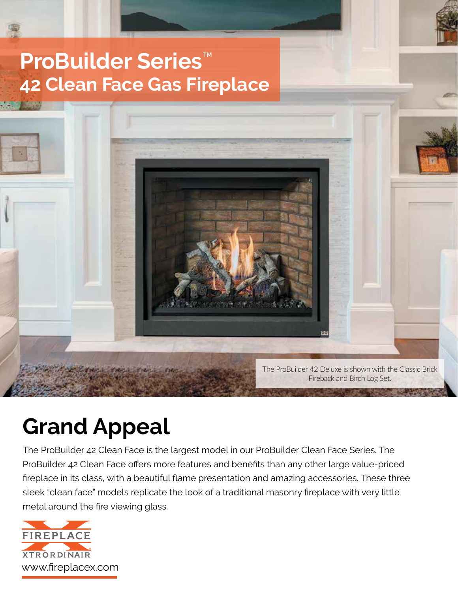# **ProBuilder Series**™ **42 Clean Face Gas Fireplace**



# **Grand Appeal**

The ProBuilder 42 Clean Face is the largest model in our ProBuilder Clean Face Series. The ProBuilder 42 Clean Face offers more features and benefits than any other large value-priced fireplace in its class, with a beautiful flame presentation and amazing accessories. These three sleek "clean face" models replicate the look of a traditional masonry fireplace with very little metal around the fire viewing glass.

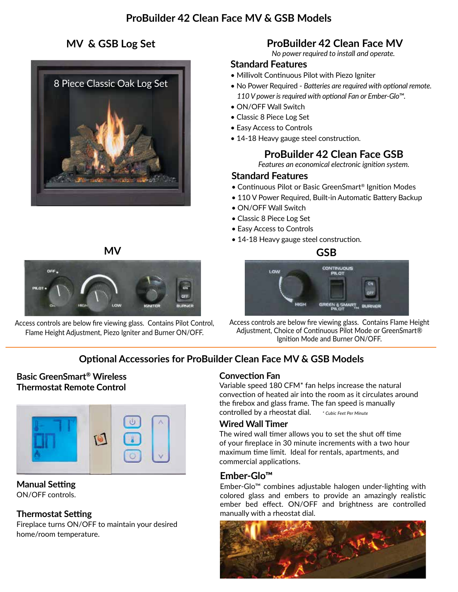# **MV & GSB Log Set**





Access controls are below fire viewing glass. Contains Pilot Control, Flame Height Adjustment, Piezo Igniter and Burner ON/OFF.

# **ProBuilder 42 Clean Face MV**

*No power required to install and operate.*

#### **Standard Features**

- Millivolt Continuous Pilot with Piezo Igniter
- No Power Required *Batteries are required with optional remote. 110 V power is required with optional Fan or Ember-Glo™.*
- ON/OFF Wall Switch
- Classic 8 Piece Log Set
- Easy Access to Controls
- 14-18 Heavy gauge steel construction.

# **ProBuilder 42 Clean Face GSB**

*Features an economical electronic ignition system.*

#### **Standard Features**

- Continuous Pilot or Basic GreenSmart® Ignition Modes
- 110 V Power Required, Built-in Automatic Battery Backup
- ON/OFF Wall Switch
- Classic 8 Piece Log Set
- Easy Access to Controls
- 14-18 Heavy gauge steel construction.





Access controls are below fire viewing glass. Contains Flame Height Adjustment, Choice of Continuous Pilot Mode or GreenSmart® Ignition Mode and Burner ON/OFF.

# **Optional Accessories for ProBuilder Clean Face MV & GSB Models**

#### **Basic GreenSmart® Wireless Thermostat Remote Control**



**Manual Setting** ON/OFF controls.

#### **Thermostat Setting**

Fireplace turns ON/OFF to maintain your desired home/room temperature.

#### **Convection Fan**

Variable speed 180 CFM\* fan helps increase the natural convection of heated air into the room as it circulates around the firebox and glass frame. The fan speed is manually controlled by a rheostat dial. *\* Cubic Feet Per Minute*

#### **Wired Wall Timer**

The wired wall timer allows you to set the shut off time of your fireplace in 30 minute increments with a two hour maximum time limit. Ideal for rentals, apartments, and commercial applications.

#### **Ember-Glo™**

Ember-Glo™ combines adjustable halogen under-lighting with colored glass and embers to provide an amazingly realistic ember bed effect. ON/OFF and brightness are controlled manually with a rheostat dial.

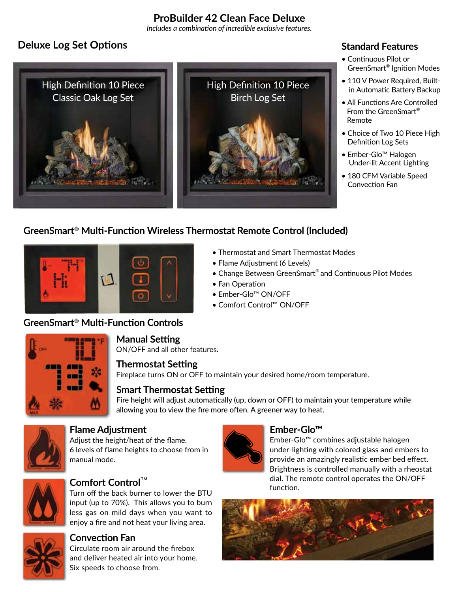# **ProBuilder 42 Clean Face Deluxe**

*Includes a combination of incredible exclusive features.*

# **Deluxe Log Set Options**



## **Standard Features**

- Continuous Pilot or • GreenSmart® Ignition Modes
- 110 V Power Required, Builtin Automatic Battery Backup
- All Functions Are Controlled From the GreenSmart® Remote
- Choice of Two 10 Piece High • Definition Log Sets
- Ember-Glo™ Halogen Under-lit Accent Lighting
- 180 CFM Variable Speed Convection Fan

# **GreenSmart® Multi-Function Wireless Thermostat Remote Control (Included)**



- Thermostat and Smart Thermostat Modes
- Flame Adjustment (6 Levels)
- Change Between GreenSmart® and Continuous Pilot Modes
- Fan Operation
- Ember-Glo™ ON/OFF
- Comfort Control™ ON/OFF

### **GreenSmart® Multi-Function Controls**



#### **Manual Setting**

ON/OFF and all other features.

#### **Thermostat Setting**

Fireplace turns ON or OFF to maintain your desired home/room temperature.

#### **Smart Thermostat Setting**

Fire height will adjust automatically (up, down or OFF) to maintain your temperature while allowing you to view the fire more often. A greener way to heat.



# **Flame Adjustment**

Adjust the height/heat of the flame. 6 levels of flame heights to choose from in manual mode.



### **Comfort Control**™

Turn off the back burner to lower the BTU input (up to 70%). This allows you to burn less gas on mild days when you want to enjoy a fire and not heat your living area.



#### **Convection Fan**

Circulate room air around the firebox and deliver heated air into your home. Six speeds to choose from.



### **Ember-Glo™**

Ember-Glo™ combines adjustable halogen under-lighting with colored glass and embers to provide an amazingly realistic ember bed effect. Brightness is controlled manually with a rheostat dial. The remote control operates the ON/OFF function.